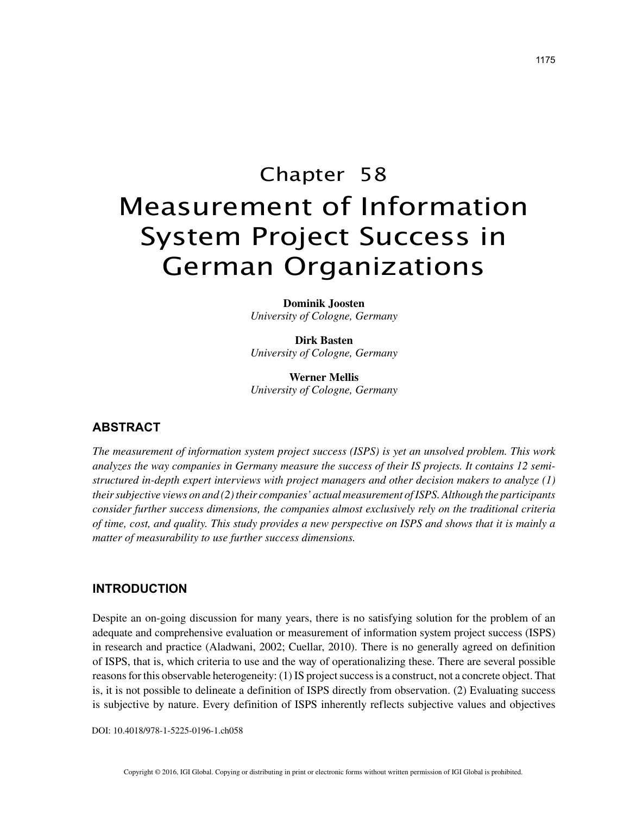# Chapter 58 Measurement of Information System Project Success in German Organizations

**Dominik Joosten** *University of Cologne, Germany*

**Dirk Basten** *University of Cologne, Germany*

**Werner Mellis** *University of Cologne, Germany*

## **ABSTRACT**

*The measurement of information system project success (ISPS) is yet an unsolved problem. This work analyzes the way companies in Germany measure the success of their IS projects. It contains 12 semistructured in-depth expert interviews with project managers and other decision makers to analyze (1) their subjective views on and (2) their companies' actual measurement of ISPS. Although the participants consider further success dimensions, the companies almost exclusively rely on the traditional criteria of time, cost, and quality. This study provides a new perspective on ISPS and shows that it is mainly a matter of measurability to use further success dimensions.*

### **INTRODUCTION**

Despite an on-going discussion for many years, there is no satisfying solution for the problem of an adequate and comprehensive evaluation or measurement of information system project success (ISPS) in research and practice (Aladwani, 2002; Cuellar, 2010). There is no generally agreed on definition of ISPS, that is, which criteria to use and the way of operationalizing these. There are several possible reasons for this observable heterogeneity: (1) IS project success is a construct, not a concrete object. That is, it is not possible to delineate a definition of ISPS directly from observation. (2) Evaluating success is subjective by nature. Every definition of ISPS inherently reflects subjective values and objectives

DOI: 10.4018/978-1-5225-0196-1.ch058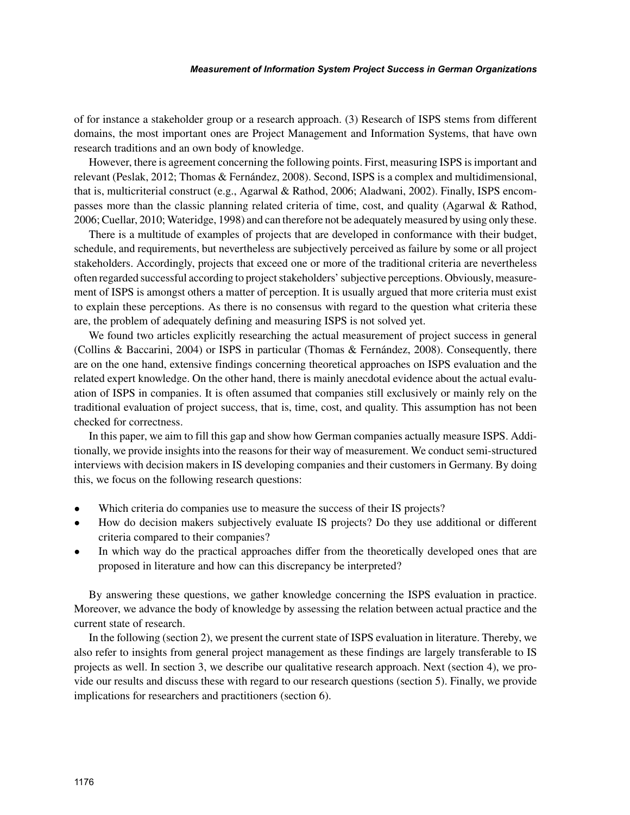of for instance a stakeholder group or a research approach. (3) Research of ISPS stems from different domains, the most important ones are Project Management and Information Systems, that have own research traditions and an own body of knowledge.

However, there is agreement concerning the following points. First, measuring ISPS is important and relevant (Peslak, 2012; Thomas & Fernández, 2008). Second, ISPS is a complex and multidimensional, that is, multicriterial construct (e.g., Agarwal & Rathod, 2006; Aladwani, 2002). Finally, ISPS encompasses more than the classic planning related criteria of time, cost, and quality (Agarwal & Rathod, 2006; Cuellar, 2010; Wateridge, 1998) and can therefore not be adequately measured by using only these.

There is a multitude of examples of projects that are developed in conformance with their budget, schedule, and requirements, but nevertheless are subjectively perceived as failure by some or all project stakeholders. Accordingly, projects that exceed one or more of the traditional criteria are nevertheless often regarded successful according to project stakeholders' subjective perceptions. Obviously, measurement of ISPS is amongst others a matter of perception. It is usually argued that more criteria must exist to explain these perceptions. As there is no consensus with regard to the question what criteria these are, the problem of adequately defining and measuring ISPS is not solved yet.

We found two articles explicitly researching the actual measurement of project success in general (Collins & Baccarini, 2004) or ISPS in particular (Thomas & Fernández, 2008). Consequently, there are on the one hand, extensive findings concerning theoretical approaches on ISPS evaluation and the related expert knowledge. On the other hand, there is mainly anecdotal evidence about the actual evaluation of ISPS in companies. It is often assumed that companies still exclusively or mainly rely on the traditional evaluation of project success, that is, time, cost, and quality. This assumption has not been checked for correctness.

In this paper, we aim to fill this gap and show how German companies actually measure ISPS. Additionally, we provide insights into the reasons for their way of measurement. We conduct semi-structured interviews with decision makers in IS developing companies and their customers in Germany. By doing this, we focus on the following research questions:

- Which criteria do companies use to measure the success of their IS projects?
- How do decision makers subjectively evaluate IS projects? Do they use additional or different criteria compared to their companies?
- In which way do the practical approaches differ from the theoretically developed ones that are proposed in literature and how can this discrepancy be interpreted?

By answering these questions, we gather knowledge concerning the ISPS evaluation in practice. Moreover, we advance the body of knowledge by assessing the relation between actual practice and the current state of research.

In the following (section 2), we present the current state of ISPS evaluation in literature. Thereby, we also refer to insights from general project management as these findings are largely transferable to IS projects as well. In section 3, we describe our qualitative research approach. Next (section 4), we provide our results and discuss these with regard to our research questions (section 5). Finally, we provide implications for researchers and practitioners (section 6).